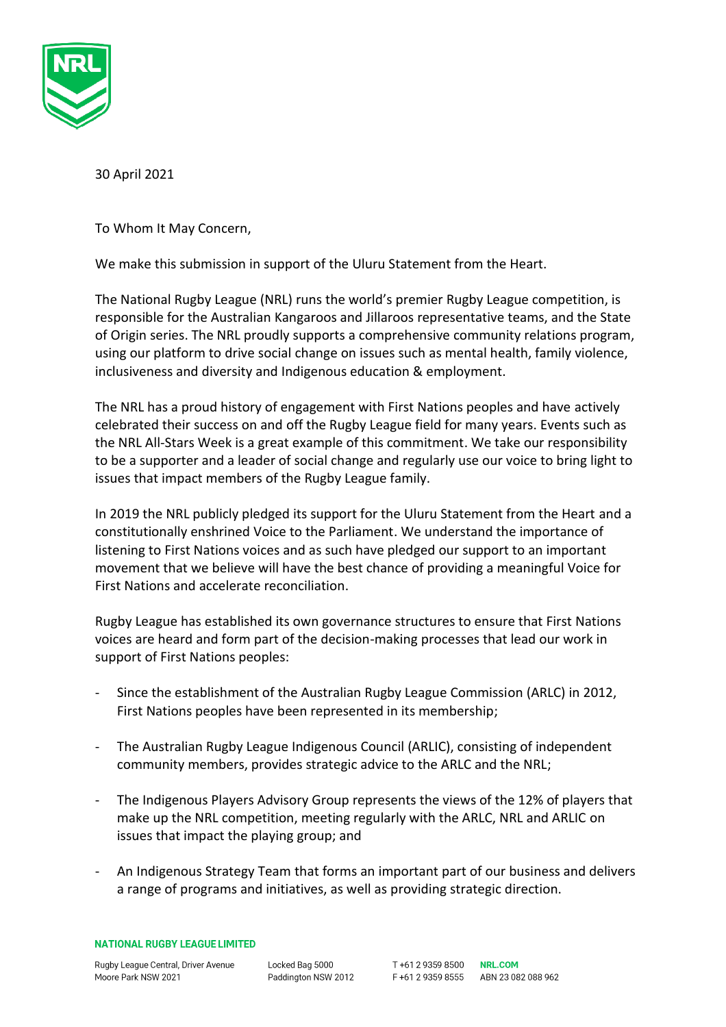

30 April 2021

To Whom It May Concern,

We make this submission in support of the Uluru Statement from the Heart.

The National Rugby League (NRL) runs the world's premier Rugby League competition, is responsible for the Australian Kangaroos and Jillaroos representative teams, and the State of Origin series. The NRL proudly supports a comprehensive community relations program, using our platform to drive social change on issues such as mental health, family violence, inclusiveness and diversity and Indigenous education & employment.

The NRL has a proud history of engagement with First Nations peoples and have actively celebrated their success on and off the Rugby League field for many years. Events such as the NRL All-Stars Week is a great example of this commitment. We take our responsibility to be a supporter and a leader of social change and regularly use our voice to bring light to issues that impact members of the Rugby League family.

In 2019 the NRL publicly pledged its support for the Uluru Statement from the Heart and a constitutionally enshrined Voice to the Parliament. We understand the importance of listening to First Nations voices and as such have pledged our support to an important movement that we believe will have the best chance of providing a meaningful Voice for First Nations and accelerate reconciliation.

Rugby League has established its own governance structures to ensure that First Nations voices are heard and form part of the decision-making processes that lead our work in support of First Nations peoples:

- Since the establishment of the Australian Rugby League Commission (ARLC) in 2012, First Nations peoples have been represented in its membership;
- The Australian Rugby League Indigenous Council (ARLIC), consisting of independent community members, provides strategic advice to the ARLC and the NRL;
- The Indigenous Players Advisory Group represents the views of the 12% of players that make up the NRL competition, meeting regularly with the ARLC, NRL and ARLIC on issues that impact the playing group; and
- An Indigenous Strategy Team that forms an important part of our business and delivers a range of programs and initiatives, as well as providing strategic direction.

**NATIONAL RUGBY LEAGUE LIMITED** 

Rugby League Central, Driver Avenue Moore Park NSW 2021